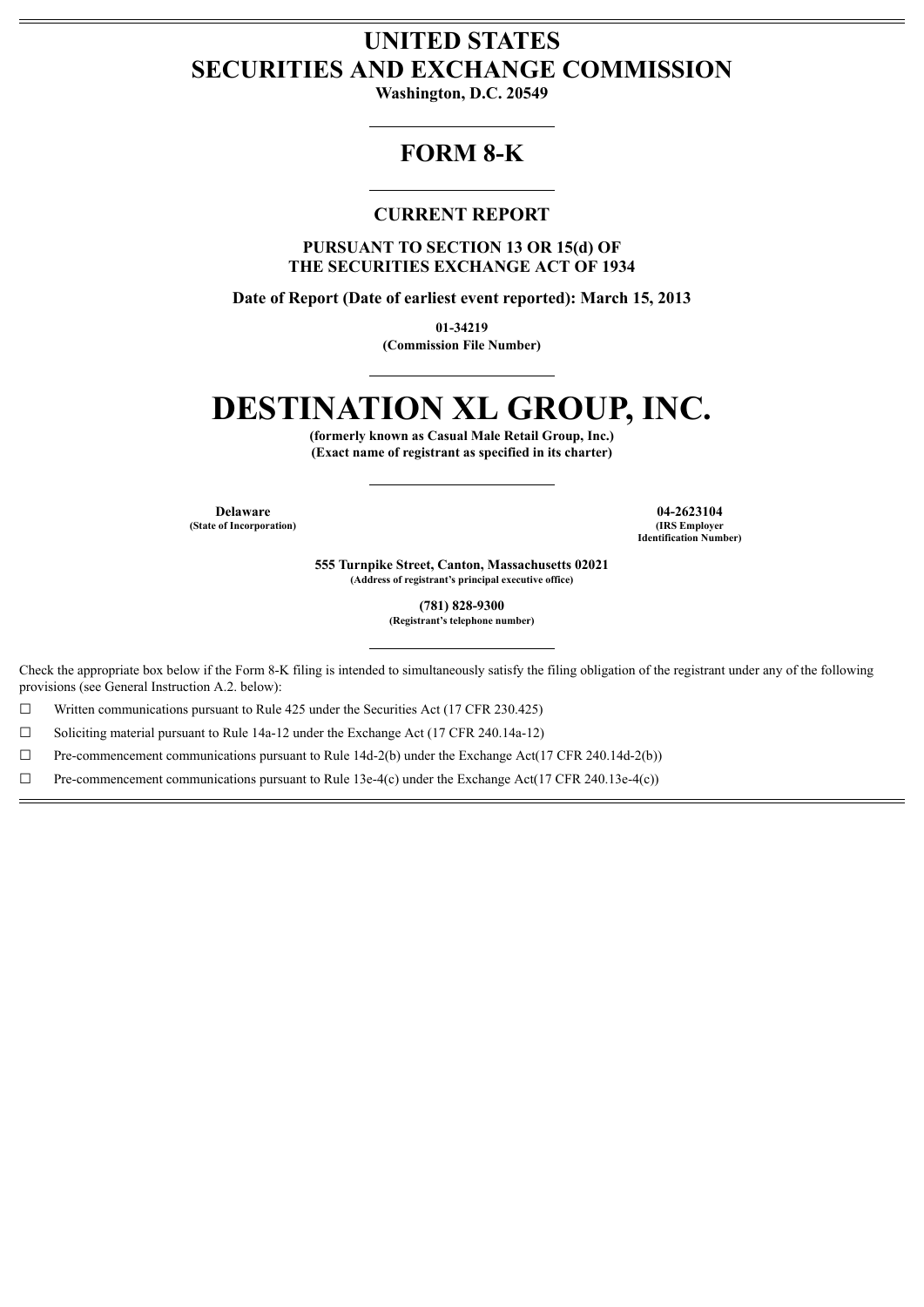# **UNITED STATES SECURITIES AND EXCHANGE COMMISSION**

**Washington, D.C. 20549**

# **FORM 8-K**

# **CURRENT REPORT**

**PURSUANT TO SECTION 13 OR 15(d) OF THE SECURITIES EXCHANGE ACT OF 1934**

**Date of Report (Date of earliest event reported): March 15, 2013**

**01-34219 (Commission File Number)**

# **DESTINATION XL GROUP, INC.**

**(formerly known as Casual Male Retail Group, Inc.) (Exact name of registrant as specified in its charter)**

**(State of Incorporation) (IRS Employer**

**Delaware 04-2623104 Identification Number)**

> **555 Turnpike Street, Canton, Massachusetts 02021 (Address of registrant's principal executive office)**

> > **(781) 828-9300 (Registrant's telephone number)**

Check the appropriate box below if the Form 8-K filing is intended to simultaneously satisfy the filing obligation of the registrant under any of the following provisions (see General Instruction A.2. below):

 $\Box$  Written communications pursuant to Rule 425 under the Securities Act (17 CFR 230.425)

☐ Soliciting material pursuant to Rule 14a-12 under the Exchange Act (17 CFR 240.14a-12)

☐ Pre-commencement communications pursuant to Rule 14d-2(b) under the Exchange Act(17 CFR 240.14d-2(b))

 $\Box$  Pre-commencement communications pursuant to Rule 13e-4(c) under the Exchange Act(17 CFR 240.13e-4(c))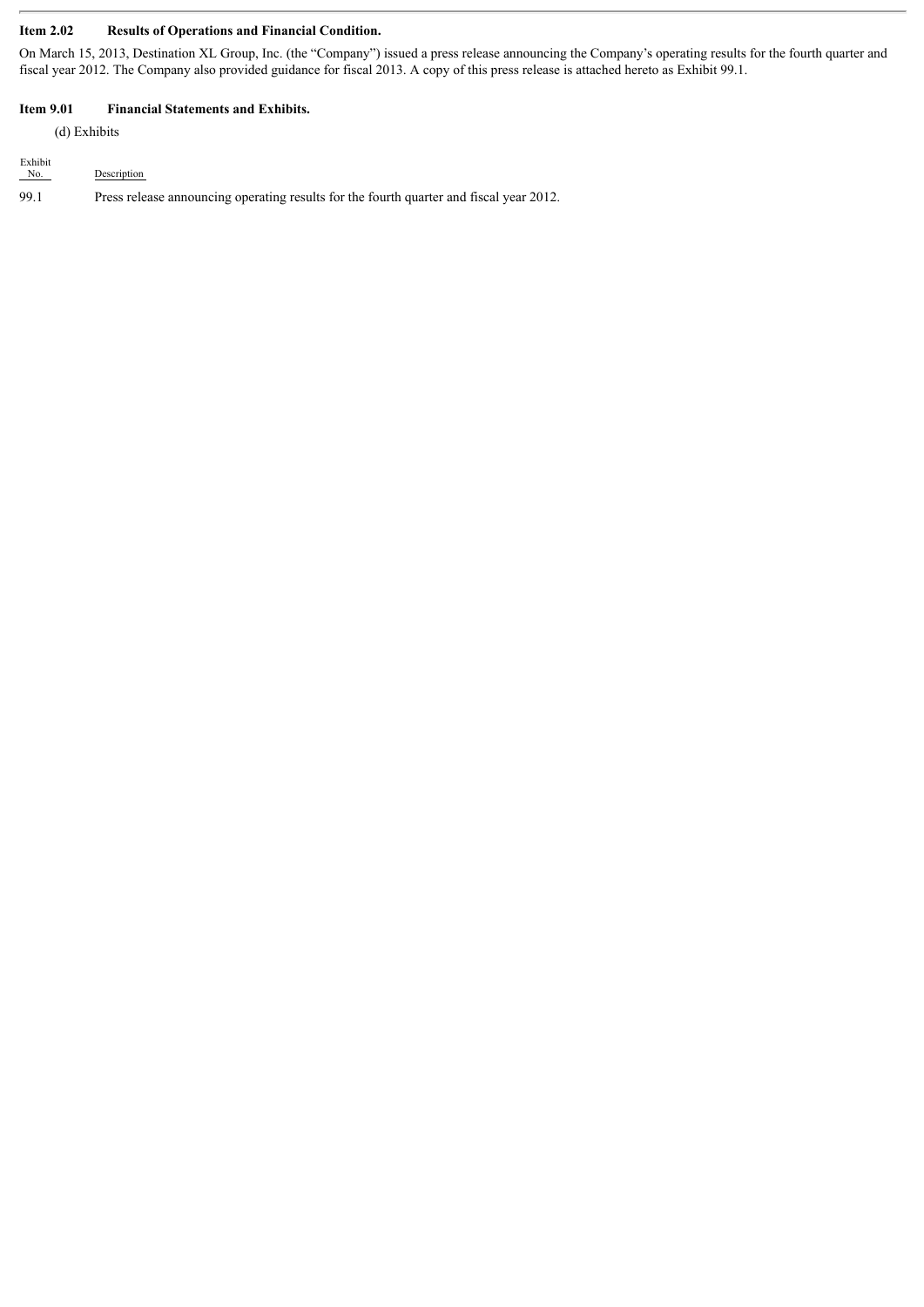# **Item 2.02 Results of Operations and Financial Condition.**

On March 15, 2013, Destination XL Group, Inc. (the "Company") issued a press release announcing the Company's operating results for the fourth quarter and fiscal year 2012. The Company also provided guidance for fiscal 2013. A copy of this press release is attached hereto as Exhibit 99.1.

## **Item 9.01 Financial Statements and Exhibits.**

(d) Exhibits

| Exhibit<br>No.<br>$\sim$ $\sim$ | Description                                                                             |
|---------------------------------|-----------------------------------------------------------------------------------------|
| -99.1                           | Press release announcing operating results for the fourth quarter and fiscal year 2012. |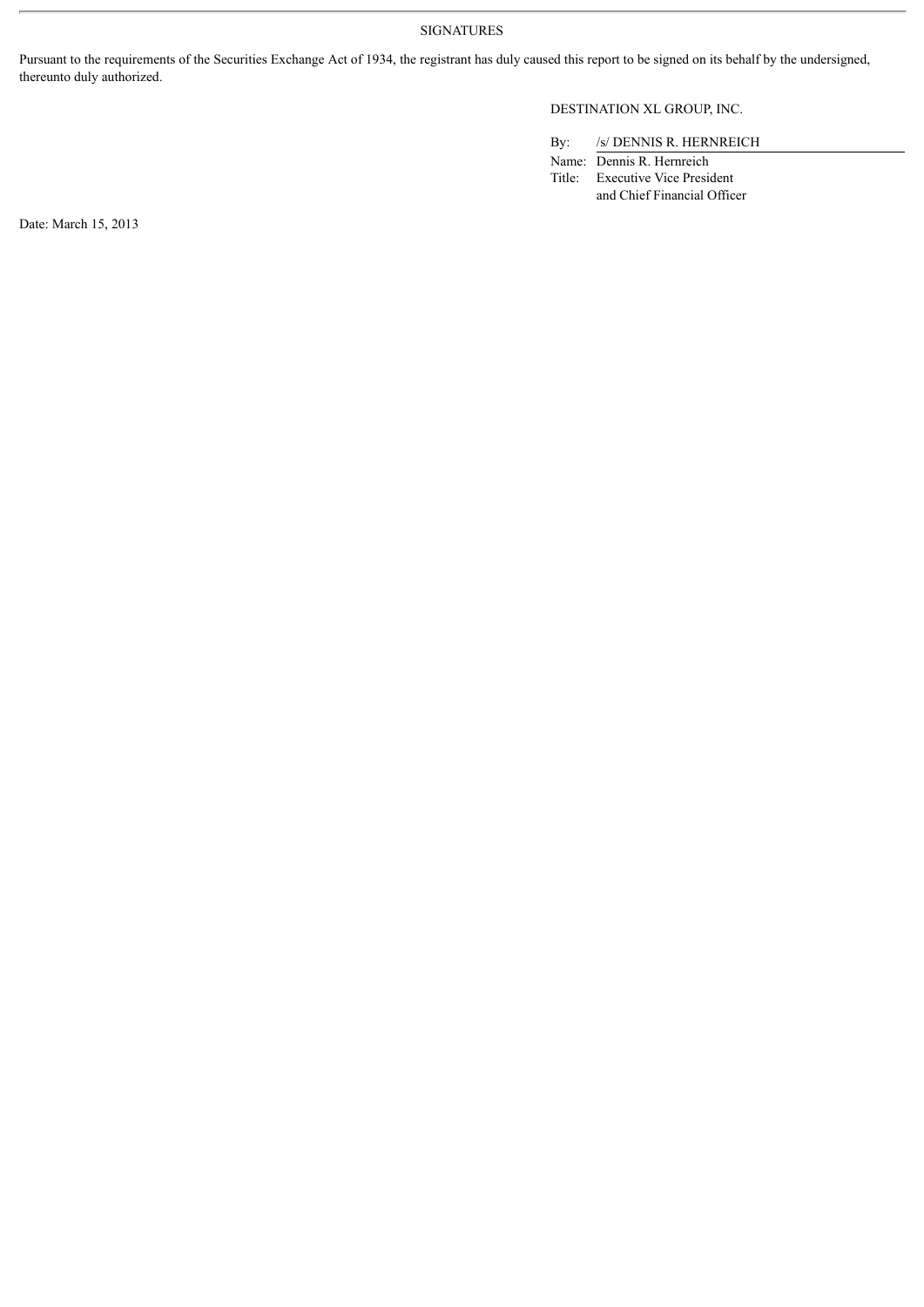SIGNATURES

Pursuant to the requirements of the Securities Exchange Act of 1934, the registrant has duly caused this report to be signed on its behalf by the undersigned, thereunto duly authorized.

# DESTINATION XL GROUP, INC.

By: /s/ DENNIS R. HERNREICH

Name: Dennis R. Hernreich Title: Executive Vice President and Chief Financial Officer

Date: March 15, 2013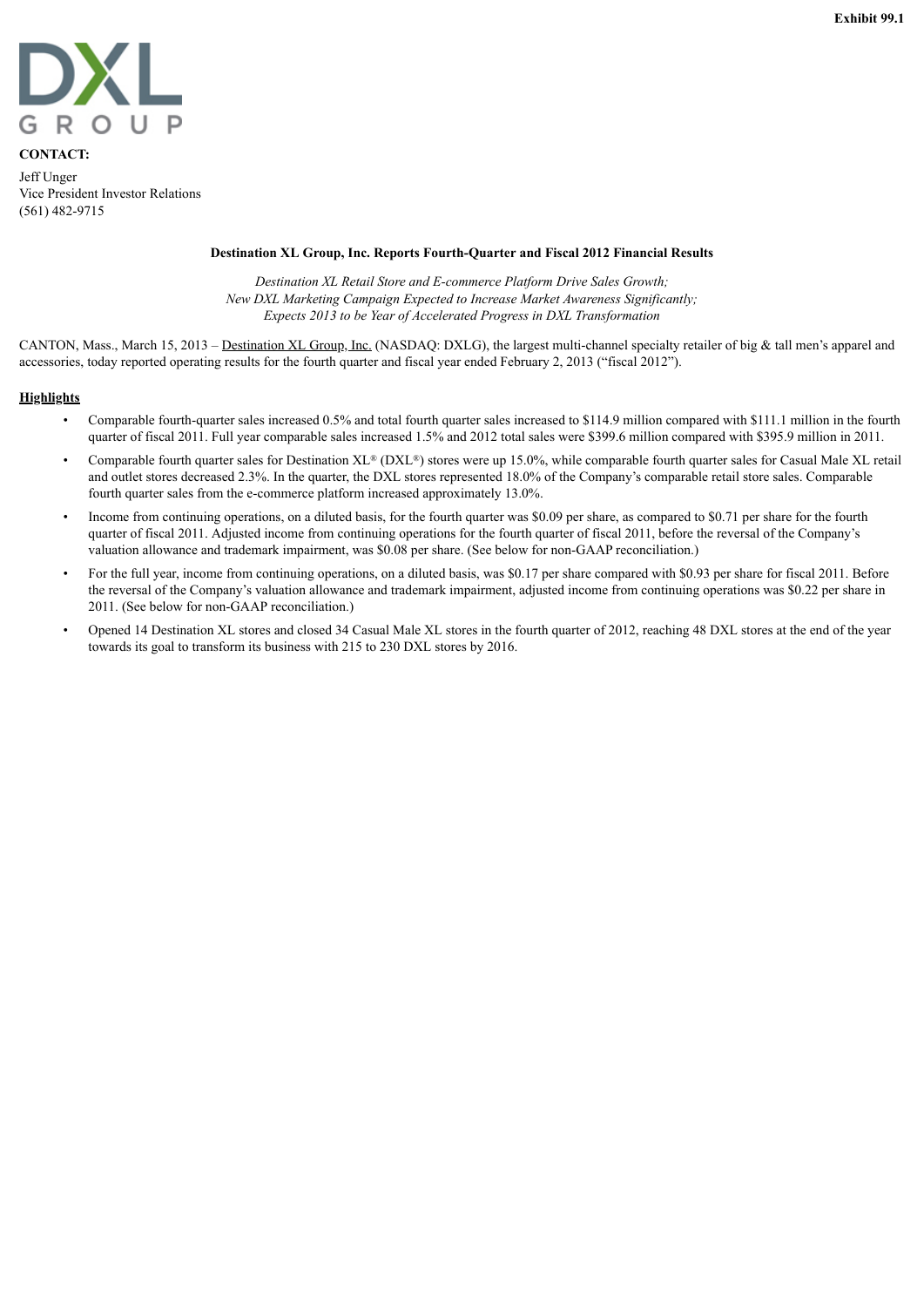

Jeff Unger Vice President Investor Relations (561) 482-9715

#### **Destination XL Group, Inc. Reports Fourth-Quarter and Fiscal 2012 Financial Results**

*Destination XL Retail Store and E-commerce Platform Drive Sales Growth; New DXL Marketing Campaign Expected to Increase Market Awareness Significantly; Expects 2013 to be Year of Accelerated Progress in DXL Transformation*

CANTON, Mass., March 15, 2013 – Destination XL Group, Inc. (NASDAQ: DXLG), the largest multi-channel specialty retailer of big & tall men's apparel and accessories, today reported operating results for the fourth quarter and fiscal year ended February 2, 2013 ("fiscal 2012").

#### **Highlights**

- Comparable fourth-quarter sales increased 0.5% and total fourth quarter sales increased to \$114.9 million compared with \$111.1 million in the fourth quarter of fiscal 2011. Full year comparable sales increased 1.5% and 2012 total sales were \$399.6 million compared with \$395.9 million in 2011.
- Comparable fourth quarter sales for Destination  $XL^*$  ( $DXL^*$ ) stores were up 15.0%, while comparable fourth quarter sales for Casual Male XL retail and outlet stores decreased 2.3%. In the quarter, the DXL stores represented 18.0% of the Company's comparable retail store sales. Comparable fourth quarter sales from the e-commerce platform increased approximately 13.0%.
- Income from continuing operations, on a diluted basis, for the fourth quarter was \$0.09 per share, as compared to \$0.71 per share for the fourth quarter of fiscal 2011. Adjusted income from continuing operations for the fourth quarter of fiscal 2011, before the reversal of the Company's valuation allowance and trademark impairment, was \$0.08 per share. (See below for non-GAAP reconciliation.)
- For the full year, income from continuing operations, on a diluted basis, was \$0.17 per share compared with \$0.93 per share for fiscal 2011. Before the reversal of the Company's valuation allowance and trademark impairment, adjusted income from continuing operations was \$0.22 per share in 2011. (See below for non-GAAP reconciliation.)
- Opened 14 Destination XL stores and closed 34 Casual Male XL stores in the fourth quarter of 2012, reaching 48 DXL stores at the end of the year towards its goal to transform its business with 215 to 230 DXL stores by 2016.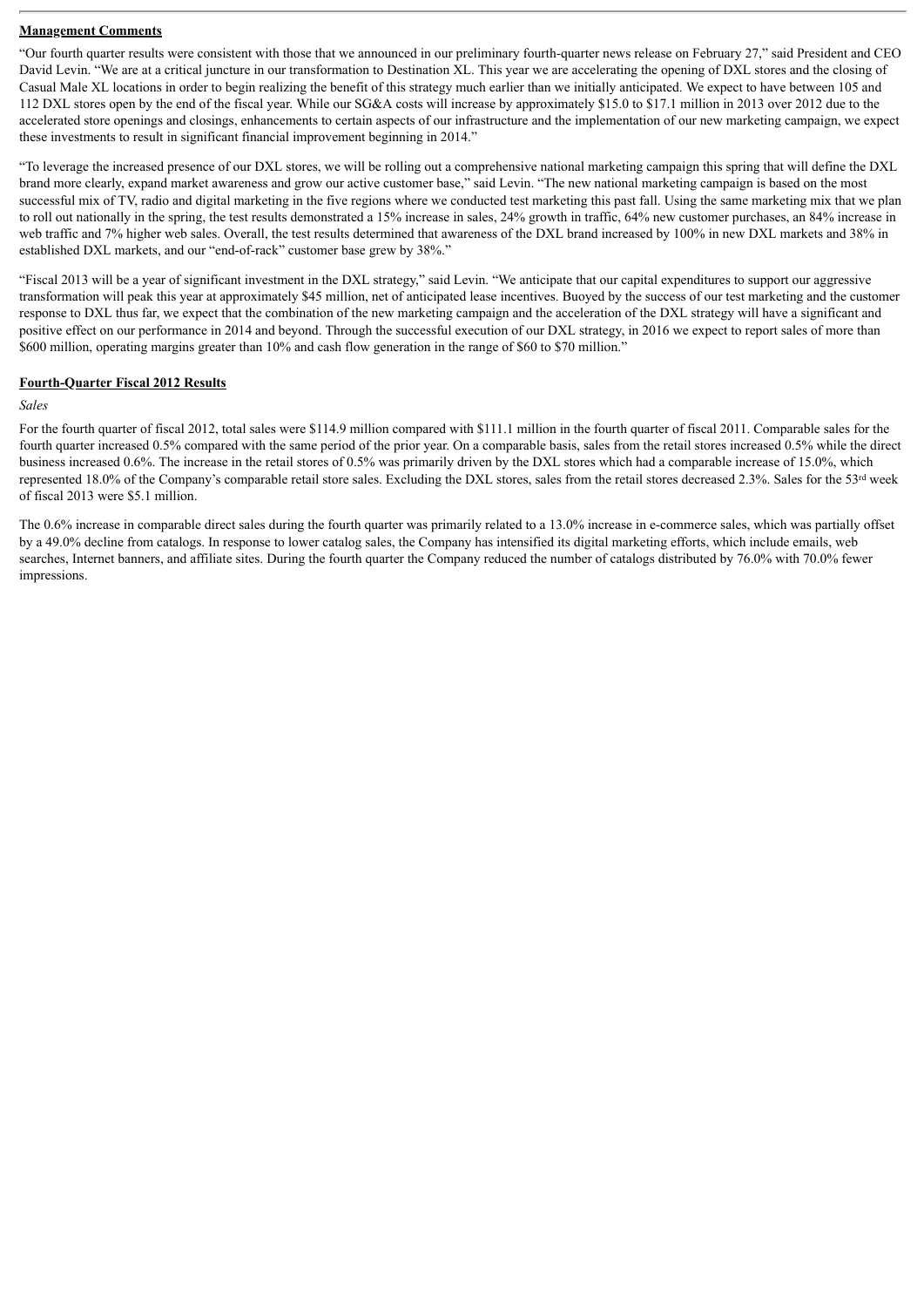#### **Management Comments**

"Our fourth quarter results were consistent with those that we announced in our preliminary fourth-quarter news release on February 27," said President and CEO David Levin. "We are at a critical juncture in our transformation to Destination XL. This year we are accelerating the opening of DXL stores and the closing of Casual Male XL locations in order to begin realizing the benefit of this strategy much earlier than we initially anticipated. We expect to have between 105 and 112 DXL stores open by the end of the fiscal year. While our SG&A costs will increase by approximately \$15.0 to \$17.1 million in 2013 over 2012 due to the accelerated store openings and closings, enhancements to certain aspects of our infrastructure and the implementation of our new marketing campaign, we expect these investments to result in significant financial improvement beginning in 2014."

"To leverage the increased presence of our DXL stores, we will be rolling out a comprehensive national marketing campaign this spring that will define the DXL brand more clearly, expand market awareness and grow our active customer base," said Levin. "The new national marketing campaign is based on the most successful mix of TV, radio and digital marketing in the five regions where we conducted test marketing this past fall. Using the same marketing mix that we plan to roll out nationally in the spring, the test results demonstrated a 15% increase in sales, 24% growth in traffic, 64% new customer purchases, an 84% increase in web traffic and 7% higher web sales. Overall, the test results determined that awareness of the DXL brand increased by 100% in new DXL markets and 38% in established DXL markets, and our "end-of-rack" customer base grew by 38%."

"Fiscal 2013 will be a year of significant investment in the DXL strategy," said Levin. "We anticipate that our capital expenditures to support our aggressive transformation will peak this year at approximately \$45 million, net of anticipated lease incentives. Buoyed by the success of our test marketing and the customer response to DXL thus far, we expect that the combination of the new marketing campaign and the acceleration of the DXL strategy will have a significant and positive effect on our performance in 2014 and beyond. Through the successful execution of our DXL strategy, in 2016 we expect to report sales of more than \$600 million, operating margins greater than 10% and cash flow generation in the range of \$60 to \$70 million."

#### **Fourth-Quarter Fiscal 2012 Results**

#### *Sales*

For the fourth quarter of fiscal 2012, total sales were \$114.9 million compared with \$111.1 million in the fourth quarter of fiscal 2011. Comparable sales for the fourth quarter increased 0.5% compared with the same period of the prior year. On a comparable basis, sales from the retail stores increased 0.5% while the direct business increased 0.6%. The increase in the retail stores of 0.5% was primarily driven by the DXL stores which had a comparable increase of 15.0%, which represented 18.0% of the Company's comparable retail store sales. Excluding the DXL stores, sales from the retail stores decreased 2.3%. Sales for the 53<sup>rd</sup> week of fiscal 2013 were \$5.1 million.

The 0.6% increase in comparable direct sales during the fourth quarter was primarily related to a 13.0% increase in e-commerce sales, which was partially offset by a 49.0% decline from catalogs. In response to lower catalog sales, the Company has intensified its digital marketing efforts, which include emails, web searches, Internet banners, and affiliate sites. During the fourth quarter the Company reduced the number of catalogs distributed by 76.0% with 70.0% fewer impressions.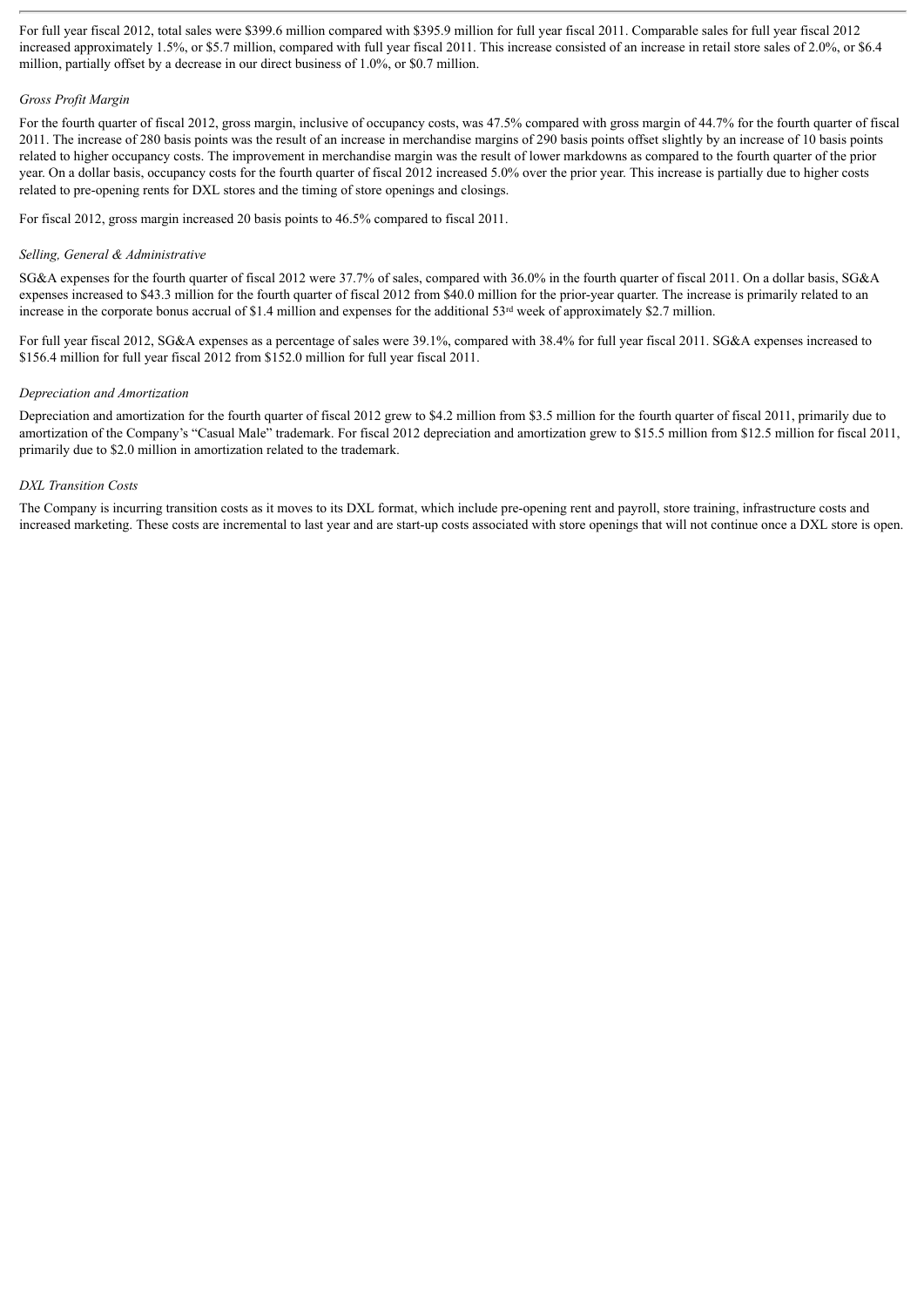For full year fiscal 2012, total sales were \$399.6 million compared with \$395.9 million for full year fiscal 2011. Comparable sales for full year fiscal 2012 increased approximately 1.5%, or \$5.7 million, compared with full year fiscal 2011. This increase consisted of an increase in retail store sales of 2.0%, or \$6.4 million, partially offset by a decrease in our direct business of 1.0%, or \$0.7 million.

#### *Gross Profit Margin*

For the fourth quarter of fiscal 2012, gross margin, inclusive of occupancy costs, was 47.5% compared with gross margin of 44.7% for the fourth quarter of fiscal 2011. The increase of 280 basis points was the result of an increase in merchandise margins of 290 basis points offset slightly by an increase of 10 basis points related to higher occupancy costs. The improvement in merchandise margin was the result of lower markdowns as compared to the fourth quarter of the prior year. On a dollar basis, occupancy costs for the fourth quarter of fiscal 2012 increased 5.0% over the prior year. This increase is partially due to higher costs related to pre-opening rents for DXL stores and the timing of store openings and closings.

For fiscal 2012, gross margin increased 20 basis points to 46.5% compared to fiscal 2011.

#### *Selling, General & Administrative*

SG&A expenses for the fourth quarter of fiscal 2012 were 37.7% of sales, compared with 36.0% in the fourth quarter of fiscal 2011. On a dollar basis, SG&A expenses increased to \$43.3 million for the fourth quarter of fiscal 2012 from \$40.0 million for the prior-year quarter. The increase is primarily related to an increase in the corporate bonus accrual of \$1.4 million and expenses for the additional  $53<sup>rd</sup>$  week of approximately \$2.7 million.

For full year fiscal 2012, SG&A expenses as a percentage of sales were 39.1%, compared with 38.4% for full year fiscal 2011. SG&A expenses increased to \$156.4 million for full year fiscal 2012 from \$152.0 million for full year fiscal 2011.

#### *Depreciation and Amortization*

Depreciation and amortization for the fourth quarter of fiscal 2012 grew to \$4.2 million from \$3.5 million for the fourth quarter of fiscal 2011, primarily due to amortization of the Company's "Casual Male" trademark. For fiscal 2012 depreciation and amortization grew to \$15.5 million from \$12.5 million for fiscal 2011, primarily due to \$2.0 million in amortization related to the trademark.

#### *DXL Transition Costs*

The Company is incurring transition costs as it moves to its DXL format, which include pre-opening rent and payroll, store training, infrastructure costs and increased marketing. These costs are incremental to last year and are start-up costs associated with store openings that will not continue once a DXL store is open.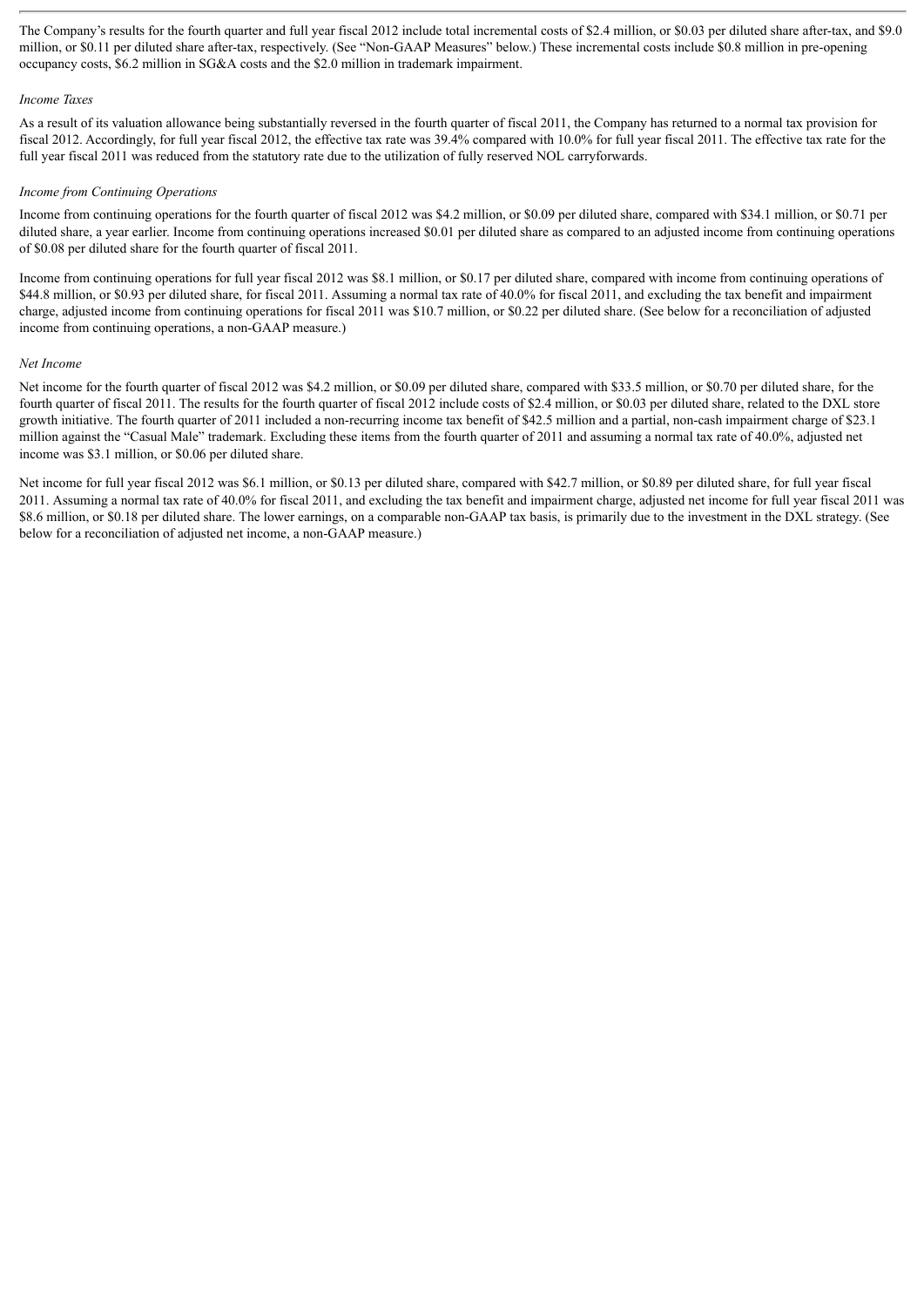The Company's results for the fourth quarter and full year fiscal 2012 include total incremental costs of \$2.4 million, or \$0.03 per diluted share after-tax, and \$9.0 million, or \$0.11 per diluted share after-tax, respectively. (See "Non-GAAP Measures" below.) These incremental costs include \$0.8 million in pre-opening occupancy costs, \$6.2 million in SG&A costs and the \$2.0 million in trademark impairment.

#### *Income Taxes*

As a result of its valuation allowance being substantially reversed in the fourth quarter of fiscal 2011, the Company has returned to a normal tax provision for fiscal 2012. Accordingly, for full year fiscal 2012, the effective tax rate was 39.4% compared with 10.0% for full year fiscal 2011. The effective tax rate for the full year fiscal 2011 was reduced from the statutory rate due to the utilization of fully reserved NOL carryforwards.

#### *Income from Continuing Operations*

Income from continuing operations for the fourth quarter of fiscal 2012 was \$4.2 million, or \$0.09 per diluted share, compared with \$34.1 million, or \$0.71 per diluted share, a year earlier. Income from continuing operations increased \$0.01 per diluted share as compared to an adjusted income from continuing operations of \$0.08 per diluted share for the fourth quarter of fiscal 2011.

Income from continuing operations for full year fiscal 2012 was \$8.1 million, or \$0.17 per diluted share, compared with income from continuing operations of \$44.8 million, or \$0.93 per diluted share, for fiscal 2011. Assuming a normal tax rate of 40.0% for fiscal 2011, and excluding the tax benefit and impairment charge, adjusted income from continuing operations for fiscal 2011 was \$10.7 million, or \$0.22 per diluted share. (See below for a reconciliation of adjusted income from continuing operations, a non-GAAP measure.)

#### *Net Income*

Net income for the fourth quarter of fiscal 2012 was \$4.2 million, or \$0.09 per diluted share, compared with \$33.5 million, or \$0.70 per diluted share, for the fourth quarter of fiscal 2011. The results for the fourth quarter of fiscal 2012 include costs of \$2.4 million, or \$0.03 per diluted share, related to the DXL store growth initiative. The fourth quarter of 2011 included a non-recurring income tax benefit of \$42.5 million and a partial, non-cash impairment charge of \$23.1 million against the "Casual Male" trademark. Excluding these items from the fourth quarter of 2011 and assuming a normal tax rate of 40.0%, adjusted net income was \$3.1 million, or \$0.06 per diluted share.

Net income for full year fiscal 2012 was \$6.1 million, or \$0.13 per diluted share, compared with \$42.7 million, or \$0.89 per diluted share, for full year fiscal 2011. Assuming a normal tax rate of 40.0% for fiscal 2011, and excluding the tax benefit and impairment charge, adjusted net income for full year fiscal 2011 was \$8.6 million, or \$0.18 per diluted share. The lower earnings, on a comparable non-GAAP tax basis, is primarily due to the investment in the DXL strategy. (See below for a reconciliation of adjusted net income, a non-GAAP measure.)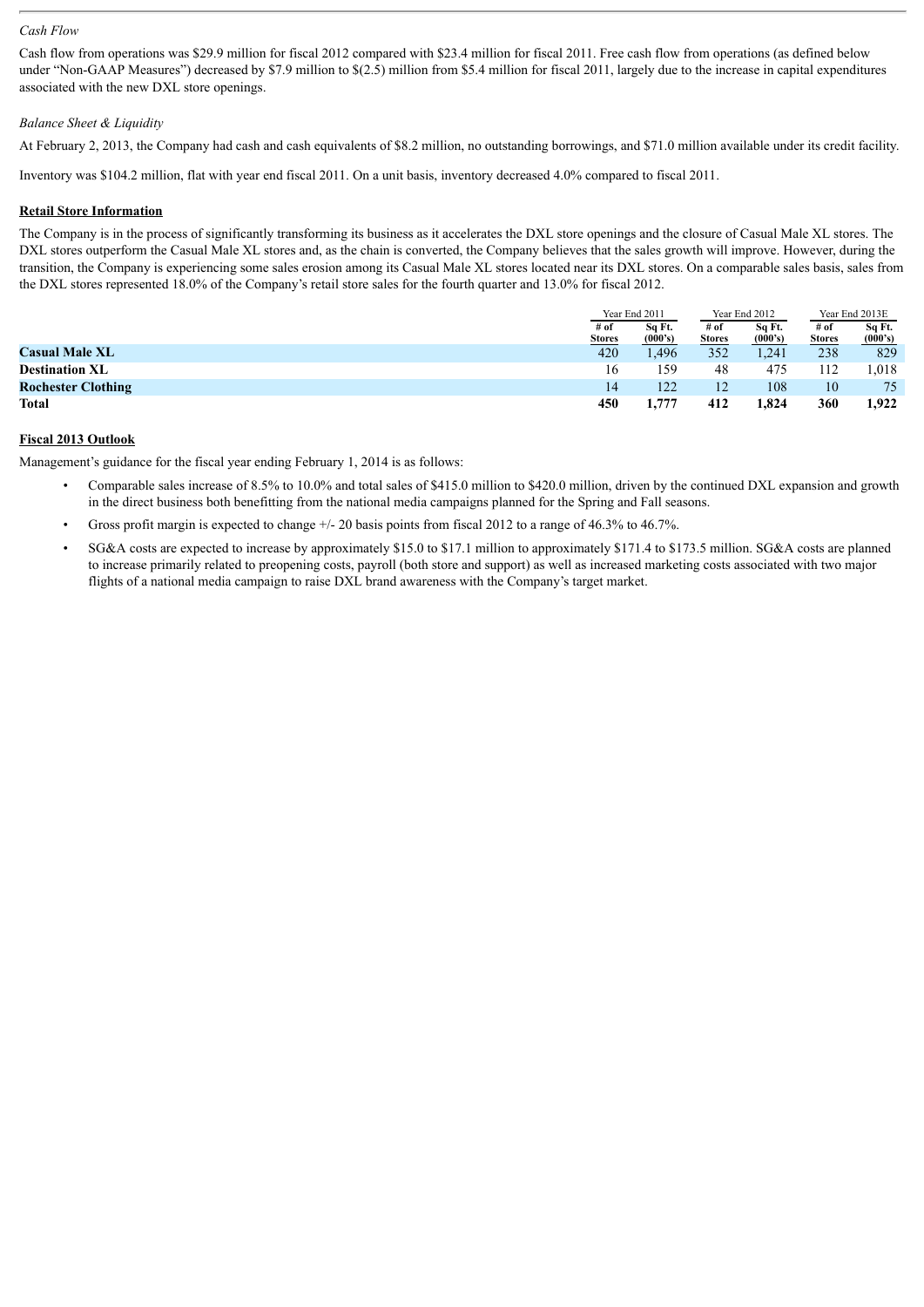#### *Cash Flow*

Cash flow from operations was \$29.9 million for fiscal 2012 compared with \$23.4 million for fiscal 2011. Free cash flow from operations (as defined below under "Non-GAAP Measures") decreased by \$7.9 million to \$(2.5) million from \$5.4 million for fiscal 2011, largely due to the increase in capital expenditures associated with the new DXL store openings.

## *Balance Sheet & Liquidity*

At February 2, 2013, the Company had cash and cash equivalents of \$8.2 million, no outstanding borrowings, and \$71.0 million available under its credit facility.

Inventory was \$104.2 million, flat with year end fiscal 2011. On a unit basis, inventory decreased 4.0% compared to fiscal 2011.

#### **Retail Store Information**

The Company is in the process of significantly transforming its business as it accelerates the DXL store openings and the closure of Casual Male XL stores. The DXL stores outperform the Casual Male XL stores and, as the chain is converted, the Company believes that the sales growth will improve. However, during the transition, the Company is experiencing some sales erosion among its Casual Male XL stores located near its DXL stores. On a comparable sales basis, sales from the DXL stores represented 18.0% of the Company's retail store sales for the fourth quarter and 13.0% for fiscal 2012.

|                           |                      | Year End 2011   |                      | Year End 2012   |                      | Year End 2013E |
|---------------------------|----------------------|-----------------|----------------------|-----------------|----------------------|----------------|
|                           | # of                 | Sq Ft.          | $#$ of               | Sq Ft.          | # of                 | Sq Ft.         |
| <b>Casual Male XL</b>     | <b>Stores</b><br>420 | (000's)<br>.496 | <b>Stores</b><br>352 | (000's)<br>.241 | <b>Stores</b><br>238 | (000's)<br>829 |
| <b>Destination XL</b>     | 16                   | 159             | 48                   | 475             | 112                  | .018           |
| <b>Rochester Clothing</b> | 14                   | 122             | 12                   | 108             | 10                   | 75             |
| <b>Total</b>              | 450                  | 1,777           | 412                  | 1,824           | 360                  | 1,922          |

#### **Fiscal 2013 Outlook**

Management's guidance for the fiscal year ending February 1, 2014 is as follows:

- Comparable sales increase of 8.5% to 10.0% and total sales of \$415.0 million to \$420.0 million, driven by the continued DXL expansion and growth in the direct business both benefitting from the national media campaigns planned for the Spring and Fall seasons.
- Gross profit margin is expected to change  $+/-20$  basis points from fiscal 2012 to a range of 46.3% to 46.7%.
- SG&A costs are expected to increase by approximately \$15.0 to \$17.1 million to approximately \$171.4 to \$173.5 million. SG&A costs are planned to increase primarily related to preopening costs, payroll (both store and support) as well as increased marketing costs associated with two major flights of a national media campaign to raise DXL brand awareness with the Company's target market.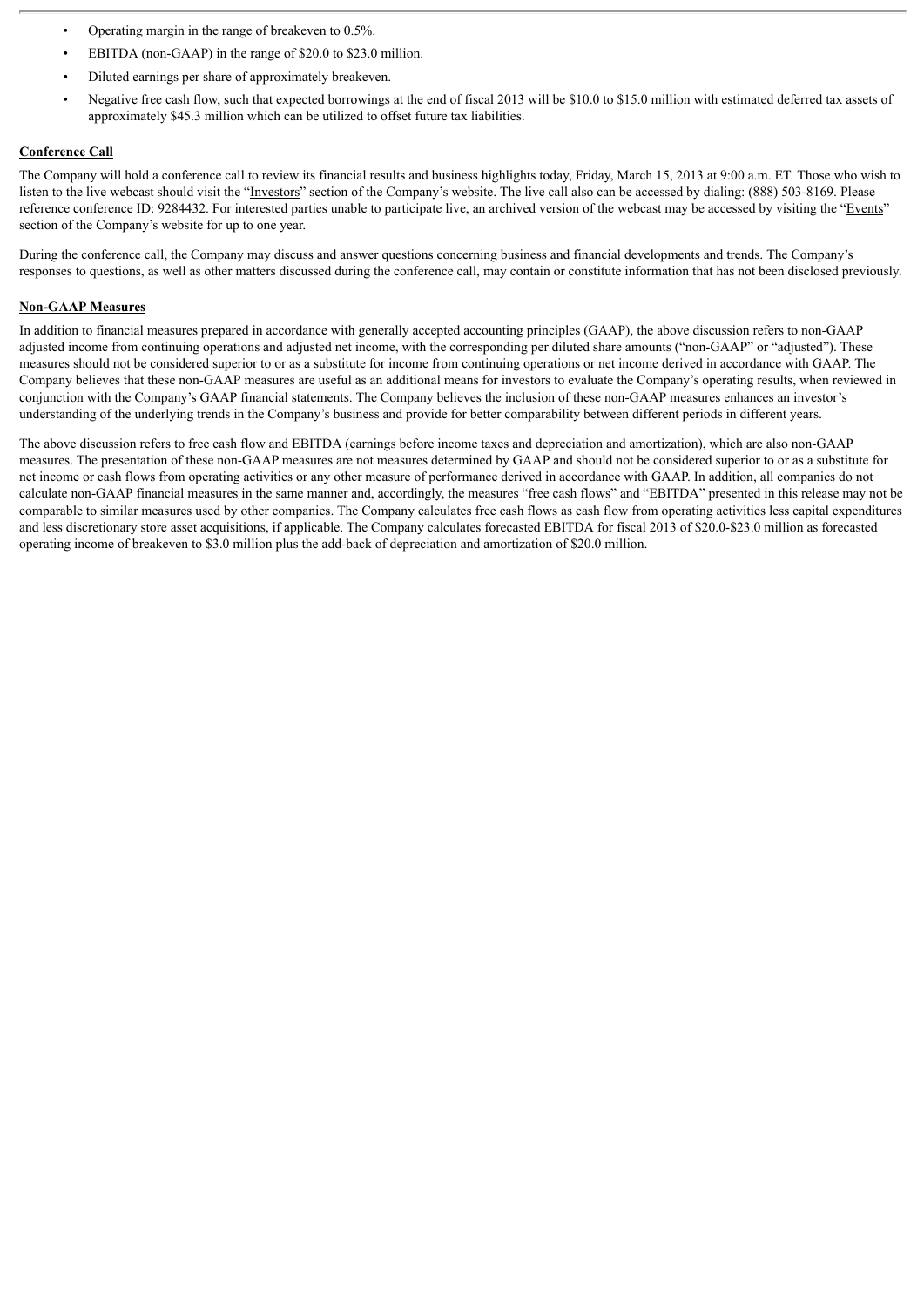- Operating margin in the range of breakeven to 0.5%.
- EBITDA (non-GAAP) in the range of \$20.0 to \$23.0 million.
- Diluted earnings per share of approximately breakeven.
- Negative free cash flow, such that expected borrowings at the end of fiscal 2013 will be \$10.0 to \$15.0 million with estimated deferred tax assets of approximately \$45.3 million which can be utilized to offset future tax liabilities.

#### **Conference Call**

The Company will hold a conference call to review its financial results and business highlights today, Friday, March 15, 2013 at 9:00 a.m. ET. Those who wish to listen to the live webcast should visit the "Investors" section of the Company's website. The live call also can be accessed by dialing: (888) 503-8169. Please reference conference ID: 9284432. For interested parties unable to participate live, an archived version of the webcast may be accessed by visiting the "Events" section of the Company's website for up to one year.

During the conference call, the Company may discuss and answer questions concerning business and financial developments and trends. The Company's responses to questions, as well as other matters discussed during the conference call, may contain or constitute information that has not been disclosed previously.

#### **Non-GAAP Measures**

In addition to financial measures prepared in accordance with generally accepted accounting principles (GAAP), the above discussion refers to non-GAAP adjusted income from continuing operations and adjusted net income, with the corresponding per diluted share amounts ("non-GAAP" or "adjusted"). These measures should not be considered superior to or as a substitute for income from continuing operations or net income derived in accordance with GAAP. The Company believes that these non-GAAP measures are useful as an additional means for investors to evaluate the Company's operating results, when reviewed in conjunction with the Company's GAAP financial statements. The Company believes the inclusion of these non-GAAP measures enhances an investor's understanding of the underlying trends in the Company's business and provide for better comparability between different periods in different years.

The above discussion refers to free cash flow and EBITDA (earnings before income taxes and depreciation and amortization), which are also non-GAAP measures. The presentation of these non-GAAP measures are not measures determined by GAAP and should not be considered superior to or as a substitute for net income or cash flows from operating activities or any other measure of performance derived in accordance with GAAP. In addition, all companies do not calculate non-GAAP financial measures in the same manner and, accordingly, the measures "free cash flows" and "EBITDA" presented in this release may not be comparable to similar measures used by other companies. The Company calculates free cash flows as cash flow from operating activities less capital expenditures and less discretionary store asset acquisitions, if applicable. The Company calculates forecasted EBITDA for fiscal 2013 of \$20.0-\$23.0 million as forecasted operating income of breakeven to \$3.0 million plus the add-back of depreciation and amortization of \$20.0 million.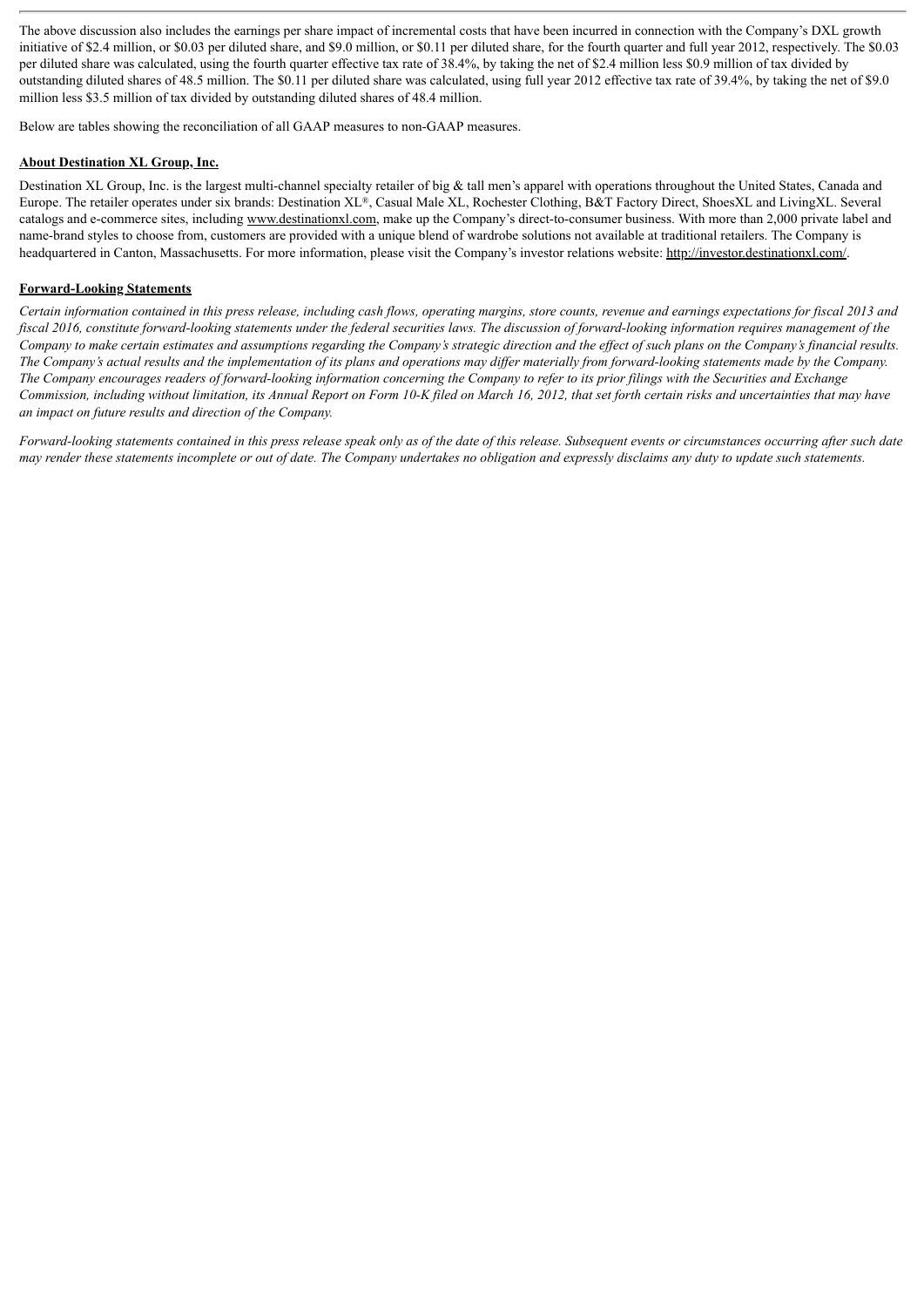The above discussion also includes the earnings per share impact of incremental costs that have been incurred in connection with the Company's DXL growth initiative of \$2.4 million, or \$0.03 per diluted share, and \$9.0 million, or \$0.11 per diluted share, for the fourth quarter and full year 2012, respectively. The \$0.03 per diluted share was calculated, using the fourth quarter effective tax rate of 38.4%, by taking the net of \$2.4 million less \$0.9 million of tax divided by outstanding diluted shares of 48.5 million. The \$0.11 per diluted share was calculated, using full year 2012 effective tax rate of 39.4%, by taking the net of \$9.0 million less \$3.5 million of tax divided by outstanding diluted shares of 48.4 million.

Below are tables showing the reconciliation of all GAAP measures to non-GAAP measures.

#### **About Destination XL Group, Inc.**

Destination XL Group, Inc. is the largest multi-channel specialty retailer of big & tall men's apparel with operations throughout the United States, Canada and Europe. The retailer operates under six brands: Destination XL®, Casual Male XL, Rochester Clothing, B&T Factory Direct, ShoesXL and LivingXL. Several catalogs and e-commerce sites, including www.destinationxl.com, make up the Company's direct-to-consumer business. With more than 2,000 private label and name-brand styles to choose from, customers are provided with a unique blend of wardrobe solutions not available at traditional retailers. The Company is headquartered in Canton, Massachusetts. For more information, please visit the Company's investor relations website: http://investor.destinationxl.com/.

#### **Forward-Looking Statements**

*Certain information contained in this press release, including cash flows, operating margins, store counts, revenue and earnings expectations for fiscal 2013 and fiscal 2016, constitute forward-looking statements under the federal securities laws. The discussion of forward-looking information requires management of the Company to make certain estimates and assumptions regarding the Company's strategic direction and the effect of such plans on the Company's financial results. The Company's actual results and the implementation of its plans and operations may differ materially from forward-looking statements made by the Company. The Company encourages readers of forward-looking information concerning the Company to refer to its prior filings with the Securities and Exchange Commission, including without limitation, its Annual Report on Form 10-K filed on March 16, 2012, that set forth certain risks and uncertainties that may have an impact on future results and direction of the Company.*

*Forward-looking statements contained in this press release speak only as of the date of this release. Subsequent events or circumstances occurring after such date may render these statements incomplete or out of date. The Company undertakes no obligation and expressly disclaims any duty to update such statements.*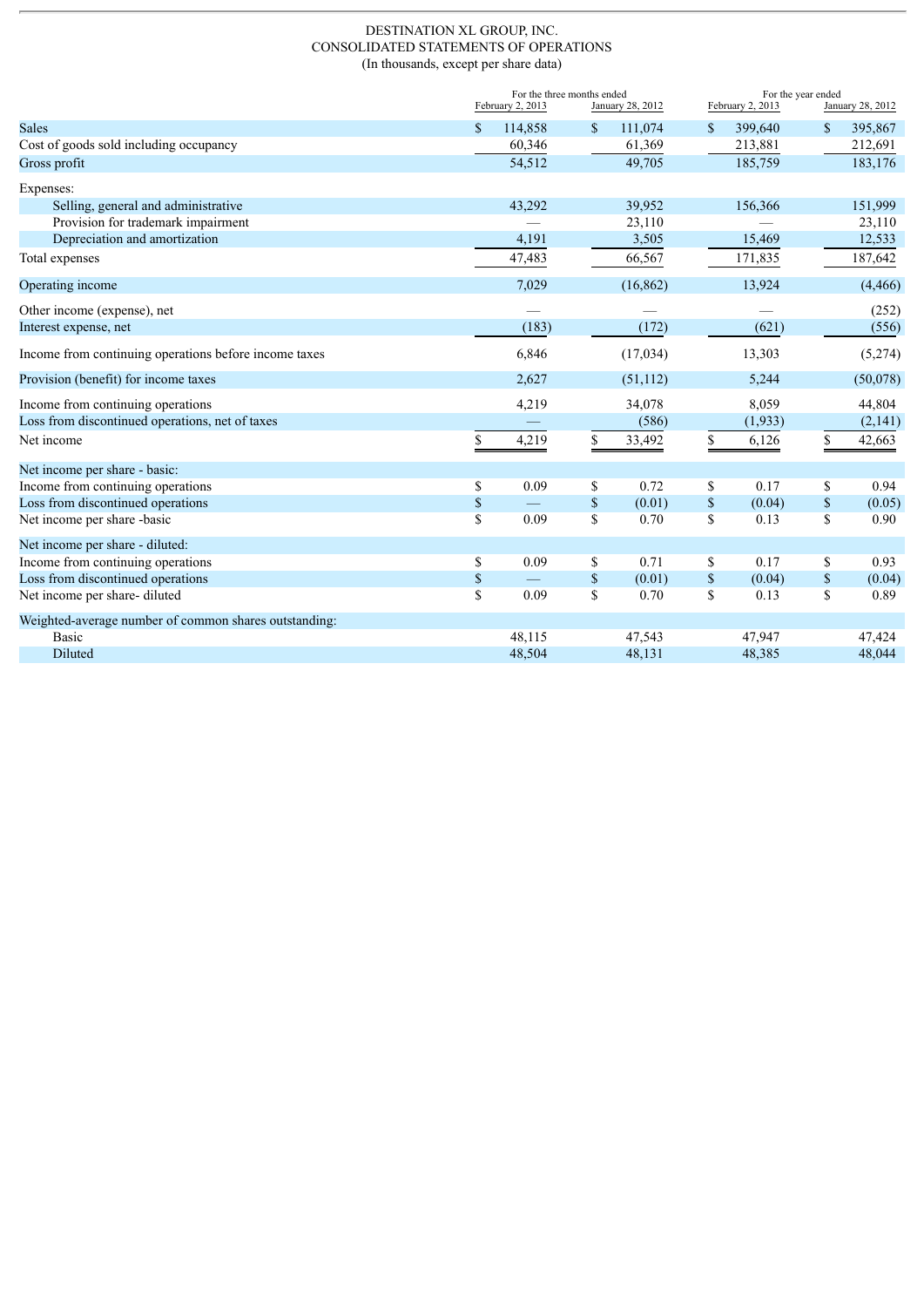#### DESTINATION XL GROUP, INC. CONSOLIDATED STATEMENTS OF OPERATIONS (In thousands, except per share data)

|                                                       |               | For the three months ended |               |                  | For the year ended |                  |              |                  |
|-------------------------------------------------------|---------------|----------------------------|---------------|------------------|--------------------|------------------|--------------|------------------|
|                                                       |               | February 2, 2013           |               | January 28, 2012 |                    | February 2, 2013 |              | January 28, 2012 |
| <b>Sales</b>                                          | $\mathcal{S}$ | 114,858                    | $\mathcal{S}$ | 111,074          | $\mathbb{S}$       | 399,640          | $\mathbb{S}$ | 395,867          |
| Cost of goods sold including occupancy                |               | 60,346                     |               | 61,369           |                    | 213,881          |              | 212,691          |
| Gross profit                                          |               | 54,512                     |               | 49,705           |                    | 185,759          |              | 183,176          |
| Expenses:                                             |               |                            |               |                  |                    |                  |              |                  |
| Selling, general and administrative                   |               | 43,292                     |               | 39,952           |                    | 156,366          |              | 151,999          |
| Provision for trademark impairment                    |               |                            |               | 23,110           |                    |                  |              | 23,110           |
| Depreciation and amortization                         |               | 4,191                      |               | 3,505            |                    | 15,469           |              | 12,533           |
| Total expenses                                        |               | 47,483                     |               | 66,567           |                    | 171,835          |              | 187,642          |
| Operating income                                      |               | 7,029                      |               | (16, 862)        |                    | 13,924           |              | (4, 466)         |
| Other income (expense), net                           |               |                            |               |                  |                    |                  |              | (252)            |
| Interest expense, net                                 |               | (183)                      |               | (172)            |                    | (621)            |              | (556)            |
| Income from continuing operations before income taxes |               | 6,846                      |               | (17,034)         |                    | 13,303           |              | (5,274)          |
| Provision (benefit) for income taxes                  |               | 2,627                      |               | (51, 112)        |                    | 5,244            |              | (50,078)         |
| Income from continuing operations                     |               | 4,219                      |               | 34,078           |                    | 8,059            |              | 44,804           |
| Loss from discontinued operations, net of taxes       |               |                            |               | (586)            |                    | (1,933)          |              | (2,141)          |
| Net income                                            | \$            | 4,219                      | \$            | 33,492           | \$                 | 6,126            | \$           | 42,663           |
| Net income per share - basic:                         |               |                            |               |                  |                    |                  |              |                  |
| Income from continuing operations                     | \$            | 0.09                       | \$            | 0.72             | \$                 | 0.17             | \$           | 0.94             |
| Loss from discontinued operations                     | $\$$          |                            | $\mathbb{S}$  | (0.01)           | $\mathbb S$        | (0.04)           | $\mathbb S$  | (0.05)           |
| Net income per share -basic                           | <sup>\$</sup> | 0.09                       | \$            | 0.70             | \$                 | 0.13             | \$           | 0.90             |
| Net income per share - diluted:                       |               |                            |               |                  |                    |                  |              |                  |
| Income from continuing operations                     | \$            | 0.09                       | \$            | 0.71             | \$                 | 0.17             | \$           | 0.93             |
| Loss from discontinued operations                     | $\mathbb S$   |                            | $\mathbb S$   | (0.01)           | $\mathbb S$        | (0.04)           | $\mathbb S$  | (0.04)           |
| Net income per share- diluted                         | <sup>\$</sup> | 0.09                       | <sup>\$</sup> | 0.70             | \$                 | 0.13             | $\mathbf S$  | 0.89             |
| Weighted-average number of common shares outstanding: |               |                            |               |                  |                    |                  |              |                  |
| Basic                                                 |               | 48,115                     |               | 47,543           |                    | 47,947           |              | 47,424           |
| Diluted                                               |               | 48,504                     |               | 48,131           |                    | 48,385           |              | 48,044           |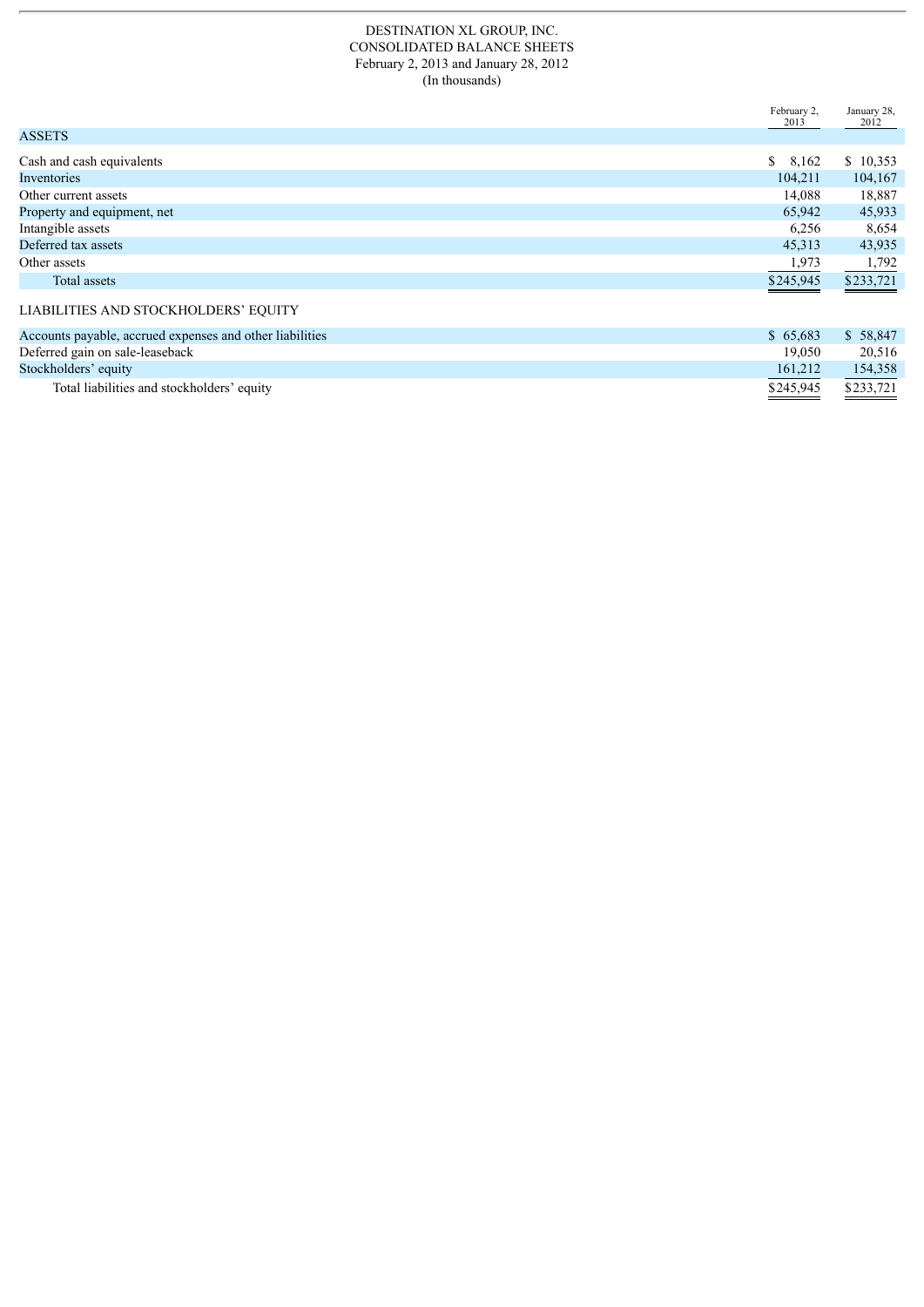#### DESTINATION XL GROUP, INC. CONSOLIDATED BALANCE SHEETS February 2, 2013 and January 28, 2012 (In thousands)

|                                                          | February 2.<br>2013 | January 28,<br>2012 |
|----------------------------------------------------------|---------------------|---------------------|
| <b>ASSETS</b>                                            |                     |                     |
| Cash and cash equivalents                                | \$8,162             | \$10,353            |
| Inventories                                              | 104,211             | 104,167             |
| Other current assets                                     | 14,088              | 18,887              |
| Property and equipment, net                              | 65,942              | 45,933              |
| Intangible assets                                        | 6,256               | 8,654               |
| Deferred tax assets                                      | 45,313              | 43,935              |
| Other assets                                             | 1,973               | 1,792               |
| Total assets                                             | \$245,945           | \$233,721           |
| LIABILITIES AND STOCKHOLDERS' EQUITY                     |                     |                     |
| Accounts payable, accrued expenses and other liabilities | \$65,683            | \$58,847            |
| Deferred gain on sale-leaseback                          | 19,050              | 20,516              |
| Stockholders' equity                                     | 161,212             | 154,358             |

Total liabilities and stockholders' equity  $\overline{$245,945}$   $\overline{$233,721}$